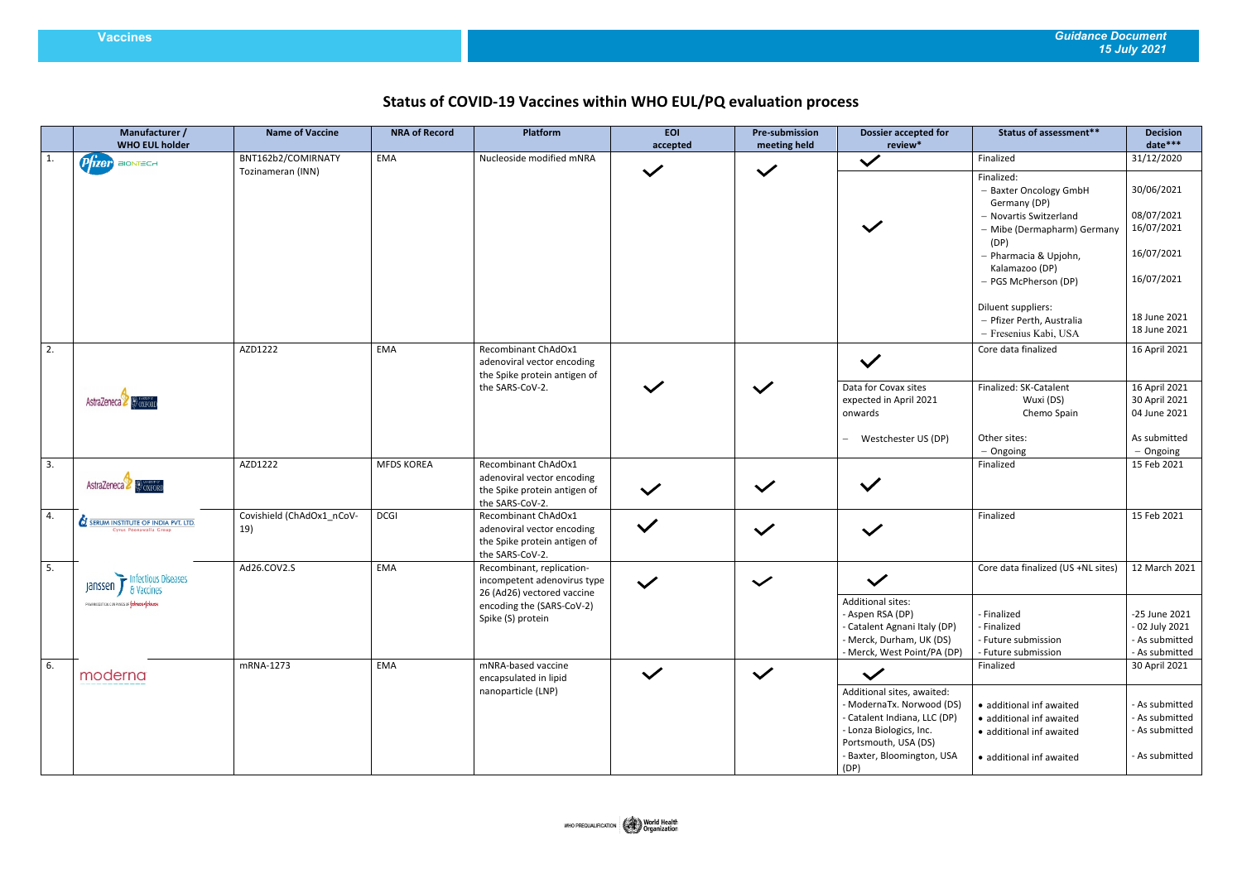## **Vaccines** *Guidance Document 15 July 2021*

## **Status of COVID-19 Vaccines within WHO EUL/PQ evaluation process**

|    | Manufacturer /<br><b>WHO EUL holder</b>                             | <b>Name of Vaccine</b>           | <b>NRA of Record</b> | <b>Platform</b>                                                                                      | <b>EOI</b><br>accepted | <b>Pre-submission</b><br>meeting held | <b>Dossier accepted for</b><br>review*                                                                                                                                           | <b>Status of assessment**</b>                                                                                                                  | <b>Decision</b><br>date***                                           |
|----|---------------------------------------------------------------------|----------------------------------|----------------------|------------------------------------------------------------------------------------------------------|------------------------|---------------------------------------|----------------------------------------------------------------------------------------------------------------------------------------------------------------------------------|------------------------------------------------------------------------------------------------------------------------------------------------|----------------------------------------------------------------------|
| 1. | Prizer BIONTECH                                                     | BNT162b2/COMIRNATY               | EMA                  | Nucleoside modified mNRA                                                                             |                        |                                       | $\bar{\mathbf{v}}$                                                                                                                                                               | Finalized                                                                                                                                      | 31/12/2020                                                           |
|    |                                                                     | Tozinameran (INN)                |                      |                                                                                                      | $\checkmark$           | $\checkmark$                          |                                                                                                                                                                                  | Finalized:<br>- Baxter Oncology GmbH<br>Germany (DP)<br>- Novartis Switzerland<br>- Mibe (Dermapharm) Germany<br>(DP)<br>- Pharmacia & Upjohn, | 30/06/2021<br>08/07/2021<br>16/07/2021<br>16/07/2021                 |
|    |                                                                     |                                  |                      |                                                                                                      |                        |                                       |                                                                                                                                                                                  | Kalamazoo (DP)<br>- PGS McPherson (DP)<br>Diluent suppliers:<br>- Pfizer Perth, Australia<br>- Fresenius Kabi, USA                             | 16/07/2021<br>18 June 2021<br>18 June 2021                           |
| 2. |                                                                     | AZD1222                          | <b>EMA</b>           | Recombinant ChAdOx1<br>adenoviral vector encoding<br>the Spike protein antigen of                    |                        |                                       | $\checkmark$                                                                                                                                                                     | Core data finalized                                                                                                                            | 16 April 2021                                                        |
|    | AstraZeneca & OXFORD                                                |                                  |                      | the SARS-CoV-2.                                                                                      |                        | $\checkmark$                          | Data for Covax sites<br>expected in April 2021<br>onwards                                                                                                                        | Finalized: SK-Catalent<br>Wuxi (DS)<br>Chemo Spain                                                                                             | 16 April 2021<br>30 April 2021<br>04 June 2021                       |
|    |                                                                     |                                  |                      |                                                                                                      |                        |                                       | Westchester US (DP)                                                                                                                                                              | Other sites:<br>$-$ Ongoing                                                                                                                    | As submitted<br>$-$ Ongoing                                          |
| 3. | AstraZeneca & OXFORD                                                | AZD1222                          | <b>MFDS KOREA</b>    | Recombinant ChAdOx1<br>adenoviral vector encoding<br>the Spike protein antigen of<br>the SARS-CoV-2. | $\checkmark$           | $\checkmark$                          |                                                                                                                                                                                  | Finalized                                                                                                                                      | 15 Feb 2021                                                          |
| 4. | <b>SERUM INSTITUTE OF INDIA PVT. LTD.</b><br>Cyrus Poonawalla Group | Covishield (ChAdOx1_nCoV-<br>19) | <b>DCGI</b>          | Recombinant ChAdOx1<br>adenoviral vector encoding<br>the Spike protein antigen of<br>the SARS-CoV-2. | $\checkmark$           | $\checkmark$                          | $\checkmark$                                                                                                                                                                     | Finalized                                                                                                                                      | 15 Feb 2021                                                          |
| 5. | Janssen by Infectious Diseases                                      | Ad26.COV2.S                      | <b>EMA</b>           | Recombinant, replication-<br>incompetent adenovirus type<br>26 (Ad26) vectored vaccine               | $\checkmark$           | $\checkmark$                          |                                                                                                                                                                                  | Core data finalized (US +NL sites)                                                                                                             | 12 March 2021                                                        |
|    | PHARMACEUTICAL CONPANIES OF LORINOR-LOCKHITCH                       |                                  |                      | encoding the (SARS-CoV-2)<br>Spike (S) protein                                                       |                        |                                       | Additional sites:<br>- Aspen RSA (DP)<br>- Catalent Agnani Italy (DP)<br>- Merck, Durham, UK (DS)<br>- Merck, West Point/PA (DP)                                                 | - Finalized<br>- Finalized<br>- Future submission<br>- Future submission                                                                       | -25 June 2021<br>- 02 July 2021<br>- As submitted<br>- As submitted  |
| 6. | moderna                                                             | mRNA-1273                        | EMA                  | mNRA-based vaccine<br>encapsulated in lipid                                                          | $\checkmark$           | $\checkmark$                          | $\checkmark$                                                                                                                                                                     | Finalized                                                                                                                                      | 30 April 2021                                                        |
|    |                                                                     |                                  |                      | nanoparticle (LNP)                                                                                   |                        |                                       | Additional sites, awaited:<br>- ModernaTx. Norwood (DS)<br>- Catalent Indiana, LLC (DP)<br>- Lonza Biologics, Inc.<br>Portsmouth, USA (DS)<br>- Baxter, Bloomington, USA<br>(DP) | · additional inf awaited<br>· additional inf awaited<br>· additional inf awaited<br>· additional inf awaited                                   | - As submitted<br>- As submitted<br>- As submitted<br>- As submitted |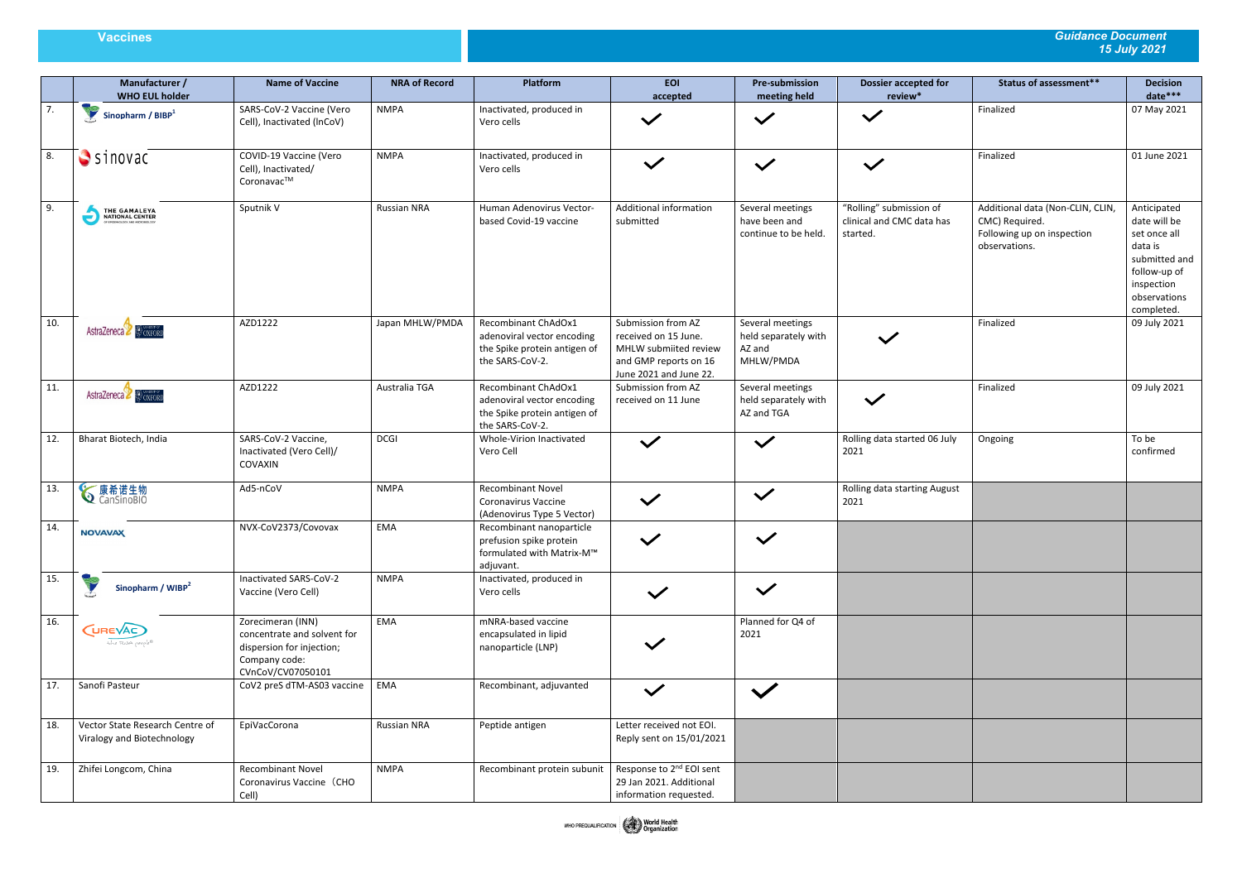## **Vaccines** *Guidance Document 15 July 2021*

|     | Manufacturer /<br><b>WHO EUL holder</b>                                 | <b>Name of Vaccine</b>                                                                                              | <b>NRA of Record</b> | Platform                                                                                             | <b>EOI</b><br>accepted                                                                                                 | <b>Pre-submission</b><br>meeting held                           | <b>Dossier accepted for</b><br>review*                           | <b>Status of assessment**</b>                                                                     | <b>Decision</b><br>date***                                                                                                          |
|-----|-------------------------------------------------------------------------|---------------------------------------------------------------------------------------------------------------------|----------------------|------------------------------------------------------------------------------------------------------|------------------------------------------------------------------------------------------------------------------------|-----------------------------------------------------------------|------------------------------------------------------------------|---------------------------------------------------------------------------------------------------|-------------------------------------------------------------------------------------------------------------------------------------|
| 7.  | Sinopharm / BIBP <sup>1</sup>                                           | SARS-CoV-2 Vaccine (Vero<br>Cell), Inactivated (InCoV)                                                              | <b>NMPA</b>          | Inactivated, produced in<br>Vero cells                                                               | $\checkmark$                                                                                                           | $\checkmark$                                                    | $\checkmark$                                                     | Finalized                                                                                         | 07 May 2021                                                                                                                         |
| 8.  | $S$ sinovac                                                             | COVID-19 Vaccine (Vero<br>Cell), Inactivated/<br>Coronavac™                                                         | <b>NMPA</b>          | Inactivated, produced in<br>Vero cells                                                               | $\checkmark$                                                                                                           | $\checkmark$                                                    | $\checkmark$                                                     | Finalized                                                                                         | 01 June 2021                                                                                                                        |
| 9.  | THE GAMALEYA<br>NATIONAL CENTER<br>OF EPIDENGLOGY AND MICROBIOLOGY<br>ć | Sputnik V                                                                                                           | <b>Russian NRA</b>   | Human Adenovirus Vector-<br>based Covid-19 vaccine                                                   | Additional information<br>submitted                                                                                    | Several meetings<br>have been and<br>continue to be held.       | "Rolling" submission of<br>clinical and CMC data has<br>started. | Additional data (Non-CLIN, CLIN,<br>CMC) Required.<br>Following up on inspection<br>observations. | Anticipated<br>date will be<br>set once all<br>data is<br>submitted and<br>follow-up of<br>inspection<br>observations<br>completed. |
| 10. | AstraZeneca & OXFORD                                                    | AZD1222                                                                                                             | Japan MHLW/PMDA      | Recombinant ChAdOx1<br>adenoviral vector encoding<br>the Spike protein antigen of<br>the SARS-CoV-2. | Submission from AZ<br>received on 15 June.<br>MHLW submiited review<br>and GMP reports on 16<br>June 2021 and June 22. | Several meetings<br>held separately with<br>AZ and<br>MHLW/PMDA | $\checkmark$                                                     | Finalized                                                                                         | 09 July 2021                                                                                                                        |
| 11. | AstraZeneca & OXFORD                                                    | AZD1222                                                                                                             | Australia TGA        | Recombinant ChAdOx1<br>adenoviral vector encoding<br>the Spike protein antigen of<br>the SARS-CoV-2. | Submission from AZ<br>received on 11 June                                                                              | Several meetings<br>held separately with<br>AZ and TGA          | $\checkmark$                                                     | Finalized                                                                                         | 09 July 2021                                                                                                                        |
| 12. | Bharat Biotech, India                                                   | SARS-CoV-2 Vaccine,<br>Inactivated (Vero Cell)/<br>COVAXIN                                                          | <b>DCGI</b>          | Whole-Virion Inactivated<br>Vero Cell                                                                | $\checkmark$                                                                                                           | $\checkmark$                                                    | Rolling data started 06 July<br>2021                             | Ongoing                                                                                           | To be<br>confirmed                                                                                                                  |
| 13. | <b>√康希诺生物</b>                                                           | Ad5-nCoV                                                                                                            | <b>NMPA</b>          | <b>Recombinant Novel</b><br>Coronavirus Vaccine<br>(Adenovirus Type 5 Vector)                        | $\checkmark$                                                                                                           | $\checkmark$                                                    | Rolling data starting August<br>2021                             |                                                                                                   |                                                                                                                                     |
| 14. | <b>NOVAVAX</b>                                                          | NVX-CoV2373/Covovax                                                                                                 | EMA                  | Recombinant nanoparticle<br>prefusion spike protein<br>formulated with Matrix-M™<br>adjuvant.        | $\checkmark$                                                                                                           | $\sqrt{}$                                                       |                                                                  |                                                                                                   |                                                                                                                                     |
| 15. | Sinopharm / WIBP <sup>2</sup>                                           | Inactivated SARS-CoV-2<br>Vaccine (Vero Cell)                                                                       | <b>NMPA</b>          | Inactivated, produced in<br>Vero cells                                                               | $\checkmark$                                                                                                           | $\checkmark$                                                    |                                                                  |                                                                                                   |                                                                                                                                     |
| 16. | (UREVAC)<br>the RNA people®                                             | Zorecimeran (INN)<br>concentrate and solvent for<br>dispersion for injection;<br>Company code:<br>CVnCoV/CV07050101 | EMA                  | mNRA-based vaccine<br>encapsulated in lipid<br>nanoparticle (LNP)                                    |                                                                                                                        | Planned for Q4 of<br>2021                                       |                                                                  |                                                                                                   |                                                                                                                                     |
| 17. | Sanofi Pasteur                                                          | CoV2 preS dTM-AS03 vaccine                                                                                          | EMA                  | Recombinant, adjuvanted                                                                              | $\checkmark$                                                                                                           | $\checkmark$                                                    |                                                                  |                                                                                                   |                                                                                                                                     |
| 18. | Vector State Research Centre of<br>Viralogy and Biotechnology           | EpiVacCorona                                                                                                        | Russian NRA          | Peptide antigen                                                                                      | Letter received not EOI.<br>Reply sent on 15/01/2021                                                                   |                                                                 |                                                                  |                                                                                                   |                                                                                                                                     |
| 19. | Zhifei Longcom, China                                                   | <b>Recombinant Novel</b><br>Coronavirus Vaccine (CHO<br>Cell)                                                       | <b>NMPA</b>          | Recombinant protein subunit                                                                          | Response to 2 <sup>nd</sup> EOI sent<br>29 Jan 2021. Additional<br>information requested.                              |                                                                 |                                                                  |                                                                                                   |                                                                                                                                     |